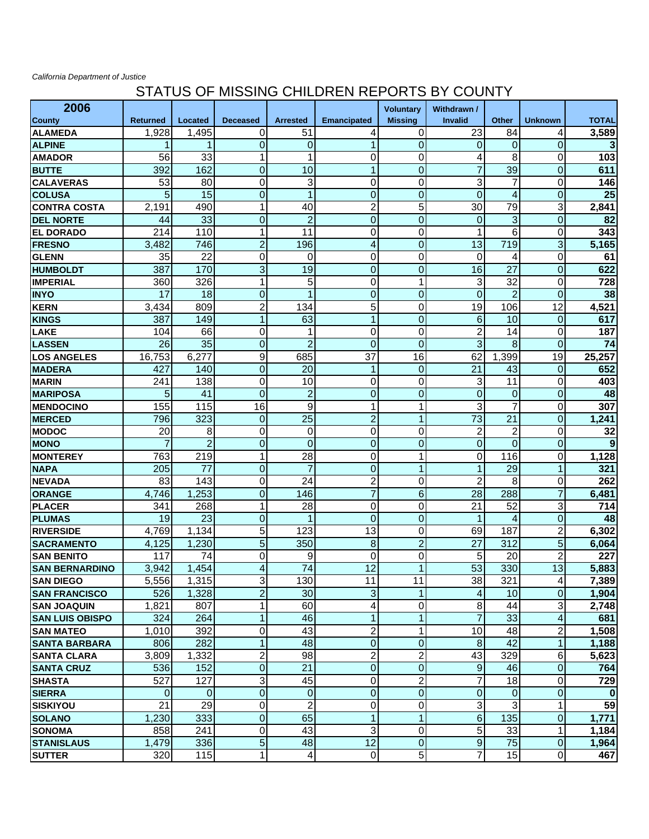## *California Department of Justice*

## STATUS OF MISSING CHILDREN REPORTS BY COUNTY

| 2006                   |                 |                 |                         |                 |                    | <b>Voluntary</b> | Withdrawn /      |                 |                |              |
|------------------------|-----------------|-----------------|-------------------------|-----------------|--------------------|------------------|------------------|-----------------|----------------|--------------|
| <b>County</b>          | <b>Returned</b> | Located         | <b>Deceased</b>         | <b>Arrested</b> | <b>Emancipated</b> | <b>Missing</b>   | <b>Invalid</b>   | <b>Other</b>    | <b>Unknown</b> | <b>TOTAL</b> |
| <b>ALAMEDA</b>         | 1,928           | 1,495           | 0                       | 51              | 4                  | 0                | 23               | 84              | 4              | 3,589        |
| <b>ALPINE</b>          | 1               | 1               | $\mathbf 0$             | $\mathbf 0$     | 1                  | $\overline{0}$   | $\overline{0}$   | 0               | $\overline{0}$ | 3            |
| <b>AMADOR</b>          | 56              | 33              | 1                       | 1               | 0                  | 0                | 4                | 8               | 0              | 103          |
| <b>BUTTE</b>           | 392             | 162             | $\mathbf 0$             | 10              | 1                  | $\overline{0}$   | 7                | 39              | $\overline{0}$ | 611          |
| <b>CALAVERAS</b>       | 53              | 80              | 0                       | 3               | 0                  | 0                | 3                | 7               | 0              | 146          |
| <b>COLUSA</b>          | 5               | 15              | $\mathbf 0$             | 1               | $\mathbf 0$        | $\overline{0}$   | $\overline{0}$   | 4               | $\overline{0}$ | 25           |
| <b>CONTRA COSTA</b>    | 2,191           | 490             | 1                       | 40              | $\overline{c}$     | 5                | 30               | 79              | 3              | 2,841        |
| <b>DEL NORTE</b>       | 44              | 33              | $\mathbf 0$             | $\overline{2}$  | $\mathbf 0$        | $\mathbf 0$      | $\mathbf 0$      | 3               | $\overline{0}$ | 82           |
| <b>EL DORADO</b>       | 214             | 110             | 1                       | 11              | 0                  | 0                | 1                | 6               | 0              | 343          |
| <b>FRESNO</b>          | 3,482           | 746             | $\overline{c}$          | 196             | 4                  | $\mathbf 0$      | 13               | 719             | $\overline{3}$ | 5,165        |
| <b>GLENN</b>           | 35              | 22              | $\mathbf 0$             | $\mathbf 0$     | 0                  | 0                | 0                | 4               | 0              | 61           |
| <b>HUMBOLDT</b>        | 387             | 170             | 3                       | 19              | $\overline{0}$     | $\overline{0}$   | 16               | 27              | $\mathbf 0$    | 622          |
| <b>IMPERIAL</b>        | 360             | 326             | 1                       | 5               | 0                  | 1                | 3                | 32              | $\mathbf 0$    | 728          |
| <b>INYO</b>            | 17              | 18              | $\mathbf 0$             | 1               | $\overline{0}$     | $\mathbf 0$      | $\overline{0}$   | $\overline{2}$  | $\mathbf 0$    | 38           |
| <b>KERN</b>            | 3,434           | 809             | $\overline{c}$          | 134             | 5                  | 0                | 19               | 106             | 12             | 4,521        |
| <b>KINGS</b>           | 387             | 149             | 1                       | 63              | 1                  | $\mathbf 0$      | 6                | 10              | $\mathbf 0$    | 617          |
| <b>LAKE</b>            | 104             | 66              | 0                       | 1               | 0                  | $\mathbf 0$      | $\overline{2}$   | 14              | $\mathbf 0$    | 187          |
| <b>LASSEN</b>          | 26              | $\overline{35}$ | $\overline{0}$          | $\overline{2}$  | $\overline{0}$     | $\mathbf 0$      | $\overline{3}$   | 8               | $\overline{0}$ | 74           |
| <b>LOS ANGELES</b>     | 16,753          | 6,277           | 9                       | 685             | 37                 | 16               | 62               | 1,399           | 19             | 25,257       |
| <b>MADERA</b>          | 427             | 140             | $\mathbf 0$             | 20              | 1                  | 0                | 21               | 43              | $\overline{0}$ | 652          |
| <b>MARIN</b>           | 241             | 138             | $\mathbf 0$             | 10              | 0                  | 0                | 3                | 11              | 0              | 403          |
| <b>MARIPOSA</b>        | 5               | 41              | $\overline{0}$          | $\overline{2}$  | $\overline{0}$     | $\mathbf 0$      | $\overline{0}$   | $\mathbf 0$     | $\mathbf 0$    | 48           |
| <b>IMENDOCINO</b>      | 155             | 115             | $\overline{16}$         | $\overline{9}$  | 1                  | 1                | 3                | $\overline{7}$  | 0              | 307          |
| <b>MERCED</b>          | 796             | 323             | $\mathbf 0$             | 25              | $\overline{2}$     | $\overline{1}$   | 73               | 21              | $\overline{0}$ | 1,241        |
| <b>MODOC</b>           | 20              | 8               | $\mathbf 0$             | 0               | 0                  | 0                | $\mathbf 2$      | $\overline{c}$  | 0              | 32           |
| <b>MONO</b>            | $\overline{7}$  | $\overline{2}$  | $\mathbf 0$             | $\overline{0}$  | $\mathbf 0$        | $\mathbf 0$      | $\mathbf 0$      | 0               | $\overline{0}$ | 9            |
| <b>MONTEREY</b>        | 763             | 219             | 1                       | 28              | 0                  | 1                | 0                | 116             | $\mathbf 0$    | 1,128        |
| <b>NAPA</b>            | 205             | 77              | $\mathbf 0$             | $\overline{7}$  | $\mathbf 0$        | $\overline{1}$   | 1                | 29              | 1              | 321          |
| <b>NEVADA</b>          | 83              | 143             | $\mathbf 0$             | 24              | $\overline{c}$     | 0                | $\overline{c}$   | 8               | 0              | 262          |
| <b>ORANGE</b>          | 4,746           | 1,253           | $\overline{0}$          | 146             | 7                  | 6                | 28               | 288             | $\overline{7}$ | 6,481        |
| <b>PLACER</b>          | 341             | 268             | 1                       | 28              | 0                  | 0                | 21               | 52              | 3              | 714          |
| <b>PLUMAS</b>          | 19              | 23              | $\mathbf 0$             | 1               | $\overline{0}$     | 0                | 1                | 4               | $\overline{0}$ | 48           |
| <b>RIVERSIDE</b>       | 4,769           | 1,134           | 5                       | 123             | 13                 | 0                | 69               | 187             | $\overline{c}$ | 6,302        |
| <b>SACRAMENTO</b>      | 4,125           | 1,230           | 5                       | 350             | 8                  | $\overline{2}$   | $\overline{27}$  | 312             | 5              | 6,064        |
| <b>SAN BENITO</b>      | 117             | 74              | $\boldsymbol{0}$        | 9               | 0                  | 0                | 5                | 20              | $\overline{c}$ | 227          |
| <b>SAN BERNARDINO</b>  | 3,942           | 1,454           | $\overline{4}$          | 74              | $\overline{12}$    | 1                | 53               | 330             | 13             | 5,883        |
| <b>SAN DIEGO</b>       | 5,556           | 1,315           | 3                       | 130             | 11                 | 11               | 38               | 321             | 4              | 7,389        |
| <b>SAN FRANCISCO</b>   | 526             | 1,328           | $\overline{c}$          | 30              | 3                  |                  | 4                | 10              | 0              | 1,904        |
| <b>SAN JOAQUIN</b>     | 1,821           | 807             | 1                       | 60              | 4                  | 0                | 8                | 44              | 3              | 2,748        |
| <b>SAN LUIS OBISPO</b> | 324             | 264             | 1                       | 46              | 1                  | $\mathbf{1}$     | $\overline{7}$   | 33              | 4              | 681          |
| <b>SAN MATEO</b>       | 1,010           | 392             | 0                       | 43              | $\overline{c}$     | 1                | 10               | 48              | 2              | 1,508        |
| <b>SANTA BARBARA</b>   | 806             | 282             | 1                       | 48              | $\mathbf 0$        | $\pmb{0}$        | 8                | $\overline{42}$ | $\mathbf{1}$   | 1,188        |
| <b>SANTA CLARA</b>     | 3,809           | 1,332           | $\overline{\mathbf{c}}$ | 98              | $\overline{c}$     | $\mathbf 2$      | 43               | 329             | 6              | 5,623        |
| <b>SANTA CRUZ</b>      | 536             | 152             | $\mathbf 0$             | 21              | $\mathbf 0$        | $\pmb{0}$        | $\boldsymbol{9}$ | 46              | 0              | 764          |
| <b>SHASTA</b>          | 527             | 127             | 3                       | 45              | 0                  | $\overline{c}$   | 7                | 18              | 0              | 729          |
| <b>SIERRA</b>          | 0               | $\mathbf 0$     | $\pmb{0}$               | 0               | $\mathbf 0$        | 0                | $\pmb{0}$        | $\mathbf 0$     | $\mathbf 0$    | 0            |
| <b>SISKIYOU</b>        | $\overline{21}$ | 29              | 0                       | $\overline{2}$  | 0                  | 0                | 3                | 3               | 1              | 59           |
| <b>SOLANO</b>          | 1,230           | 333             | $\pmb{0}$               | 65              | 1                  | $\mathbf{1}$     | $6\phantom{1}$   | 135             | 0              | 1,771        |
| <b>SONOMA</b>          | 858             | 241             | $\mathbf 0$             | 43              | 3                  | 0                | 5                | 33              | 1              | 1,184        |
| <b>STANISLAUS</b>      | 1,479           | 336             | 5                       | 48              | 12                 | $\boldsymbol{0}$ | $\overline{9}$   | 75              | $\overline{0}$ | 1,964        |
| <b>SUTTER</b>          | 320             | 115             | 1                       | $\overline{4}$  | $\overline{0}$     | 5 <sup>1</sup>   | 7                | 15              | $\overline{0}$ | 467          |